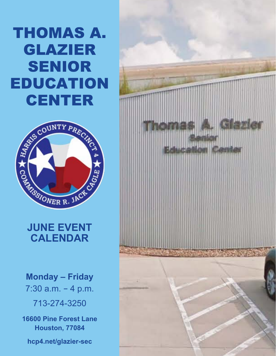# THOMAS A. GLAZIER SENIOR EDUCATION **CENTER**



# **JUNE EVENT CALENDAR**

**Monday – Friday** 7:30 a.m. – 4 p.m. 713-274-3250 **16600 Pine Forest Lane Houston, 77084 hcp4.net/glazier-sec**

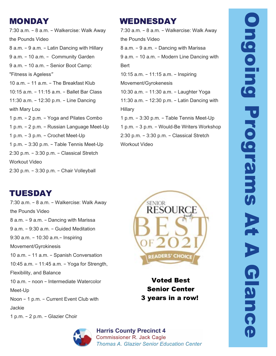# MONDAY

7:30 a.m. – 8 a.m. – Walkercise: Walk Away the Pounds Video 8 a.m. – 9 a.m. – Latin Dancing with Hillary 9 a.m. – 10 a.m. – Community Garden 9 a.m. – 10 a.m. – Senior Boot Camp: "Fitness is Ageless" 10 a.m. – 11 a.m. – The Breakfast Klub 10:15 a.m. – 11:15 a.m. – Ballet Bar Class 11:30 a.m. – 12:30 p.m. – Line Dancing with Mary Lou 1 p.m. – 2 p.m. – Yoga and Pilates Combo 1 p.m. – 2 p.m. – Russian Language Meet-Up 1 p.m. – 3 p.m. – Crochet Meet-Up 1 p.m. – 3:30 p.m. – Table Tennis Meet-Up 2:30 p.m. – 3:30 p.m. – Classical Stretch Workout Video 2:30 p.m. – 3:30 p.m. – Chair Volleyball

# WEDNESDAY

7:30 a.m. – 8 a.m. – Walkercise: Walk Away the Pounds Video 8 a.m. – 9 a.m. – Dancing with Marissa 9 a.m. – 10 a.m. – Modern Line Dancing with Bert 10:15 a.m. – 11:15 a.m. – Inspiring Movement/Gyrokenesis 10:30 a.m. – 11:30 a.m. – Laughter Yoga 11:30 a.m. – 12:30 p.m. – Latin Dancing with **Hillary** 1 p.m. – 3:30 p.m. – Table Tennis Meet-Up 1 p.m. – 3 p.m. – Would-Be Writers Workshop

2:30 p.m. – 3:30 p.m. – Classical Stretch Workout Video



Voted Best Senior Center 3 years in a row!

# TUESDAY

7:30 a.m. – 8 a.m. – Walkercise: Walk Away the Pounds Video 8 a.m. – 9 a.m. – Dancing with Marissa 9 a.m. – 9:30 a.m. – Guided Meditation 9:30 a.m. – 10:30 a.m.– Inspiring Movement/Gyrokinesis 10 a.m. – 11 a.m. – Spanish Conversation 10:45 a.m. – 11:45 a.m. – Yoga for Strength, Flexibility, and Balance 10 a.m. – noon – Intermediate Watercolor Meet-Up Noon – 1 p.m. – Current Event Club with Jackie 1 p.m. – 2 p.m. – Glazier Choir

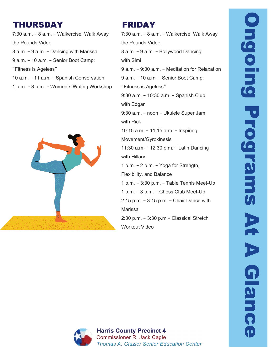# THURSDAY

7:30 a.m. – 8 a.m. – Walkercise: Walk Away the Pounds Video 8 a.m. – 9 a.m. – Dancing with Marissa 9 a.m. – 10 a.m. – Senior Boot Camp: "Fitness is Ageless" 10 a.m. – 11 a.m. – Spanish Conversation 1 p.m. – 3 p.m. – Women's Writing Workshop



# FRIDAY

7:30 a.m. – 8 a.m. – Walkercise: Walk Away the Pounds Video 8 a.m. – 9 a.m. – Bollywood Dancing with Simi 9 a.m. – 9:30 a.m. – Meditation for Relaxation 9 a.m. – 10 a.m. – Senior Boot Camp: "Fitness is Ageless" 9:30 a.m. – 10:30 a.m. – Spanish Club with Edgar 9:30 a.m. – noon – Ukulele Super Jam with Rick 10:15 a.m. – 11:15 a.m. – Inspiring Movement/Gyrokinesis 11:30 a.m. – 12:30 p.m. – Latin Dancing with Hillary 1 p.m. – 2 p.m. – Yoga for Strength, Flexibility, and Balance 1 p.m. – 3:30 p.m. – Table Tennis Meet-Up 1 p.m. – 3 p.m. – Chess Club Meet-Up 2:15 p.m. – 3:15 p.m. – Chair Dance with Marissa 2:30 p.m. – 3:30 p.m.– Classical Stretch Workout Video

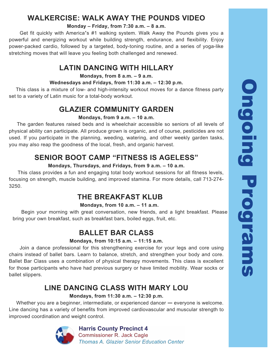### **WALKERCISE: WALK AWAY THE POUNDS VIDEO**

#### **Monday – Friday, from 7:30 a.m. – 8 a.m.**

 Get fit quickly with America**'**s #1 walking system. Walk Away the Pounds gives you a powerful and energizing workout while building strength, endurance, and flexibility. Enjoy power-packed cardio, followed by a targeted, body-toning routine, and a series of yoga-like stretching moves that will leave you feeling both challenged and renewed.

### **LATIN DANCING WITH HILLARY**

#### **Mondays, from 8 a.m. – 9 a.m.**

#### **Wednesdays and Fridays, from 11:30 a.m. – 12:30 p.m.**

 This class is a mixture of low- and high-intensity workout moves for a dance fitness party set to a variety of Latin music for a total-body workout.

### **GLAZIER COMMUNITY GARDEN**

#### **Mondays, from 9 a.m. – 10 a.m.**

 The garden features raised beds and is wheelchair accessible so seniors of all levels of physical ability can participate. All produce grown is organic, and of course, pesticides are not used. If you participate in the planning, weeding, watering, and other weekly garden tasks, you may also reap the goodness of the local, fresh, and organic harvest.

# **SENIOR BOOT CAMP "FITNESS IS AGELESS"**

#### **Mondays, Thursdays, and Fridays, from 9 a.m. – 10 a.m.**

 This class provides a fun and engaging total body workout sessions for all fitness levels, focusing on strength, muscle building, and improved stamina. For more details, call 713-274- 3250.

### **THE BREAKFAST KLUB**

#### **Mondays, from 10 a.m. – 11 a.m.**

 Begin your morning with great conversation, new friends, and a light breakfast. Please bring your own breakfast, such as breakfast bars, boiled eggs, fruit, etc.

### **BALLET BAR CLASS**

#### **Mondays, from 10:15 a.m. – 11:15 a.m.**

 Join a dance professional for this strengthening exercise for your legs and core using chairs instead of ballet bars. Learn to balance, stretch, and strengthen your body and core. Ballet Bar Class uses a combination of physical therapy movements. This class is excellent for those participants who have had previous surgery or have limited mobility. Wear socks or ballet slippers.

# **LINE DANCING CLASS WITH MARY LOU**

### **Mondays, from 11:30 a.m. – 12:30 p.m.**

 Whether you are a beginner, intermediate, or experienced dancer **—** everyone is welcome. Line dancing has a variety of benefits from improved cardiovascular and muscular strength to improved coordination and weight control.



### **Harris County Precinct 4**

**Commissioner R. Jack Cagle Thomas A. Glazier Senior Education Center**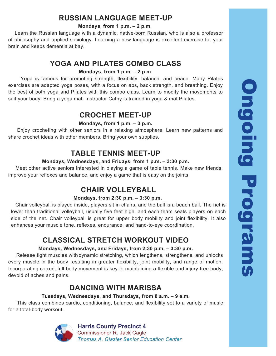### **RUSSIAN LANGUAGE MEET-UP**

#### **Mondays, from 1 p.m. – 2 p.m.**

 Learn the Russian language with a dynamic, native-born Russian, who is also a professor of philosophy and applied sociology. Learning a new language is excellent exercise for your brain and keeps dementia at bay.

### **YOGA AND PILATES COMBO CLASS**

#### **Mondays, from 1 p.m. – 2 p.m.**

 Yoga is famous for promoting strength, flexibility, balance, and peace. Many Pilates exercises are adapted yoga poses, with a focus on abs, back strength, and breathing. Enjoy the best of both yoga and Pilates with this combo class. Learn to modify the movements to suit your body. Bring a yoga mat. Instructor Cathy is trained in yoga & mat Pilates.

### **CROCHET MEET-UP**

#### **Mondays, from 1 p.m. – 3 p.m.**

 Enjoy crocheting with other seniors in a relaxing atmosphere. Learn new patterns and share crochet ideas with other members. Bring your own supplies.

# **TABLE TENNIS MEET-UP**

#### **Mondays, Wednesdays, and Fridays, from 1 p.m. – 3:30 p.m.**

 Meet other active seniors interested in playing a game of table tennis. Make new friends, improve your reflexes and balance, and enjoy a game that is easy on the joints.

### **CHAIR VOLLEYBALL**

### **Mondays, from 2:30 p.m. – 3:30 p.m.**

 Chair volleyball is played inside, players sit in chairs, and the ball is a beach ball. The net is lower than traditional volleyball, usually five feet high, and each team seats players on each side of the net. Chair volleyball is great for upper body mobility and joint flexibility. It also enhances your muscle tone, reflexes, endurance, and hand-to-eye coordination.

# **CLASSICAL STRETCH WORKOUT VIDEO**

### **Mondays, Wednesdays, and Fridays, from 2:30 p.m. – 3:30 p.m.**

 Release tight muscles with dynamic stretching, which lengthens, strengthens, and unlocks every muscle in the body resulting in greater flexibility, joint mobility, and range of motion. Incorporating correct full-body movement is key to maintaining a flexible and injury-free body, devoid of aches and pains.

# **DANCING WITH MARISSA**

### **Tuesdays, Wednesdays, and Thursdays, from 8 a.m. – 9 a.m.**

 This class combines cardio, conditioning, balance, and flexibility set to a variety of music for a total-body workout.

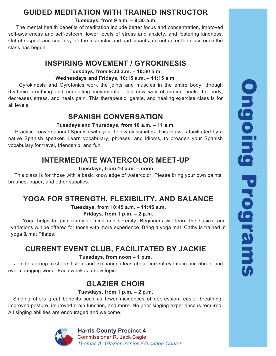# **GUIDED MEDITATION WITH TRAINED INSTRUCTOR**

**Tuesdays, from 9 a.m. – 9:30 a.m.**

 The mental health benefits of meditation include better focus and concentration, improved self-awareness and self-esteem, lower levels of stress and anxiety, and fostering kindness. Out of respect and courtesy for the instructor and participants, do not enter the class once the class has begun.

### **INSPIRING MOVEMENT / GYROKINESIS**

**Tuesdays, from 9:30 a.m. – 10:30 a.m.**

**Wednesdays and Fridays, 10:15 a.m. – 11:15 a.m.**

 Gyrokinesis and Gyrotonics work the joints and muscles in the entire body, through rhythmic breathing and undulating movements. This new way of motion heals the body, decreases stress, and heals pain. This therapeutic, gentle, and healing exercise class is for all levels.

# **SPANISH CONVERSATION**

### **Tuesdays and Thursdays, from 10 a.m. – 11 a.m.**

 Practice conversational Spanish with your fellow classmates. This class is facilitated by a native Spanish speaker. Learn vocabulary, phrases, and idioms, to broaden your Spanish vocabulary for travel, friendship, and fun.

# **INTERMEDIATE WATERCOLOR MEET-UP**

### **Tuesdays, from 10 a.m. – noon**

 This class is for those with a basic knowledge of watercolor. Please bring your own paints, brushes, paper, and other supplies.

# **YOGA FOR STRENGTH, FLEXIBILITY, AND BALANCE**

### **Tuesdays, from 10:45 a.m. – 11:45 a.m.**

### **Fridays, from 1 p.m. – 2 p.m.**

 Yoga helps to gain clarity of mind and serenity. Beginners will learn the basics, and variations will be offered for those with more experience. Bring a yoga mat. Cathy is trained in yoga & mat Pilates.

# **CURRENT EVENT CLUB, FACILITATED BY JACKIE**

### **Tuesdays, from noon – 1 p.m.**

 Join this group to share, listen, and exchange ideas about current events in our vibrant and ever-changing world. Each week is a new topic.

# **GLAZIER CHOIR**

### **Tuesdays, from 1 p.m. – 2 p.m.**

 Singing offers great benefits such as fewer incidences of depression, easier breathing, improved posture, improved brain function, and more. No prior singing experience is required. All singing abilities are encouraged and welcome.

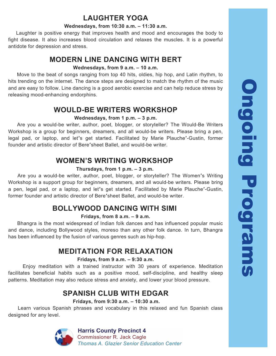### **LAUGHTER YOGA**

#### **Wednesdays, from 10:30 a.m. – 11:30 a.m.**

 Laughter is positive energy that improves health and mood and encourages the body to fight disease. It also increases blood circulation and relaxes the muscles. It is a powerful antidote for depression and stress.

### **MODERN LINE DANCING WITH BERT**

#### **Wednesdays, from 9 a.m. – 10 a.m.**

 Move to the beat of songs ranging from top 40 hits, oldies, hip hop, and Latin rhythm, to hits trending on the internet. The dance steps are designed to match the rhythm of the music and are easy to follow. Line dancing is a good aerobic exercise and can help reduce stress by releasing mood-enhancing endorphins.

### **WOULD-BE WRITERS WORKSHOP**

#### **Wednesdays, from 1 p.m. – 3 p.m.**

 Are you a would-be writer, author, poet, blogger, or storyteller? The Would-Be Writers Workshop is a group for beginners, dreamers, and all would-be writers. Please bring a pen, legal pad, or laptop, and let**'**s get started. Facilitated by Marie Plauche**'**-Gustin, former founder and artistic director of Bere**'**sheet Ballet, and would-be writer.

### **WOMEN'S WRITING WORKSHOP**

#### **Thursdays, from 1 p.m. – 3 p.m.**

 Are you a would-be writer, author, poet, blogger, or storyteller? The Women**'**s Writing Workshop is a support group for beginners, dreamers, and all would-be writers. Please bring a pen, legal pad, or a laptop, and let**'**s get started. Facilitated by Marie Plauche**'**-Gustin, former founder and artistic director of Bere**'**sheet Ballet, and would-be writer.

### **BOLLYWOOD DANCING WITH SIMI**

#### **Fridays, from 8 a.m. – 9 a.m.**

 Bhangra is the most widespread of Indian folk dances and has influenced popular music and dance, including Bollywood styles, moreso than any other folk dance. In turn, Bhangra has been influenced by the fusion of various genres such as hip-hop.

### **MEDITATION FOR RELAXATION**

#### **Fridays, from 9 a.m. – 9:30 a.m.**

 Enjoy meditation with a trained instructor with 30 years of experience. Meditation facilitates beneficial habits such as a positive mood, self-discipline, and healthy sleep patterns. Meditation may also reduce stress and anxiety, and lower your blood pressure.

### **SPANISH CLUB WITH EDGAR**

### **Fridays, from 9:30 a.m. – 10:30 a.m.**

 Learn various Spanish phrases and vocabulary in this relaxed and fun Spanish class designed for any level.

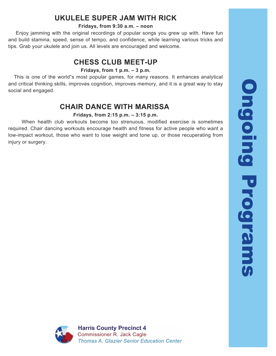### **UKULELE SUPER JAM WITH RICK**

#### **Fridays, from 9:30 a.m. – noon**

 Enjoy jamming with the original recordings of popular songs you grew up with. Have fun and build stamina, speed, sense of tempo, and confidence, while learning various tricks and tips. Grab your ukulele and join us. All levels are encouraged and welcome.

### **CHESS CLUB MEET-UP**

#### **Fridays, from 1 p.m. – 3 p.m.**

 This is one of the world**'**s most popular games, for many reasons. It enhances analytical and critical thinking skills, improves cognition, improves memory, and it is a great way to stay social and engaged.

### **CHAIR DANCE WITH MARISSA**

#### **Fridays, from 2:15 p.m. – 3:15 p.m.**

 When health club workouts become too strenuous, modified exercise is sometimes required. Chair dancing workouts encourage health and fitness for active people who want a low-impact workout, those who want to lose weight and tone up, or those recuperating from injury or surgery.

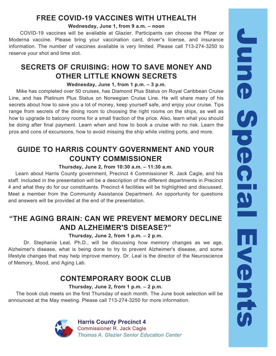### **FREE COVID-19 VACCINES WITH UTHEALTH**

**Wednesday, June 1, from 9 a.m. – noon**

 COVID-19 vaccines will be available at Glazier. Participants can choose the Pfizer or Moderna vaccine. Please bring your vaccination card, driver**'**s license, and insurance information. The number of vaccines available is very limited. Please call 713-274-3250 to reserve your shot and time slot.

# **SECRETS OF CRUISING: HOW TO SAVE MONEY AND OTHER LITTLE KNOWN SECRETS**

### **Wednesday, June 1, from 1 p.m. – 3 p.m.**

 Mike has completed over 50 cruises, has Diamond Plus Status on Royal Caribbean Cruise Line, and has Platinum Plus Status on Norwegian Cruise Line. He will share many of his secrets about how to save you a lot of money, keep yourself safe, and enjoy your cruise. Tips range from secrets of the dining room to choosing the right rooms on the ships, as well as how to upgrade to balcony rooms for a small fraction of the price. Also, learn what you should be doing after final payment. Learn when and how to book a cruise with no risk. Learn the pros and cons of excursions, how to avoid missing the ship while visiting ports, and more.

# **GUIDE TO HARRIS COUNTY GOVERNMENT AND YOUR COUNTY COMMISSIONER**

### **Thursday, June 2, from 10:30 a.m. – 11:30 a.m.**

 Learn about Harris County government, Precinct 4 Commissioner R. Jack Cagle, and his staff. Included in the presentation will be a description of the different departments in Precinct 4 and what they do for our constituents. Precinct 4 facilities will be highlighted and discussed. Meet a member from the Community Assistance Department. An opportunity for questions and answers will be provided at the end of the presentation.

### **"THE AGING BRAIN: CAN WE PREVENT MEMORY DECLINE AND ALZHEIMER'S DISEASE?"**

### **Thursday, June 2, from 1 p.m. – 2 p.m.**

 Dr. Stephanie Leal, Ph.D., will be discussing how memory changes as we age, Alzheimer's disease, what is being done to try to prevent Alzheimer's disease, and some lifestyle changes that may help improve memory. Dr. Leal is the director of the Neuroscience of Memory, Mood, and Aging Lab.

# **CONTEMPORARY BOOK CLUB**

### **Thursday, June 2, from 1 p.m. – 2 p.m.**

 The book club meets on the first Thursday of each month. The June book selection will be announced at the May meeting. Please call 713-274-3250 for more information.

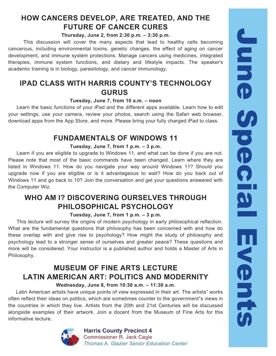### **HOW CANCERS DEVELOP, ARE TREATED, AND THE FUTURE OF CANCER CURES**

#### **Thursday, June 2, from 2:30 p.m. – 3:30 p.m.**

 This discussion will cover the many aspects that lead to healthy cells becoming cancerous, including environmental toxins, genetic changes, the effect of aging on cancer development, and immune system protections. Manage cancers using medicines, integrated therapies, immune system functions, and dietary and lifestyle impacts. The speaker's academic training is in biology, parasitology, and cancer immunology.

### **IPAD CLASS WITH HARRIS COUNTY'S TECHNOLOGY GURUS**

#### **Tuesday, June 7, from 10 a.m. – noon**

 Learn the basic functions of your iPad and the different apps available. Learn how to edit your settings, use your camera, review your photos, search using the Safari web browser, download apps from the App Store, and more. Please bring your fully charged iPad to class.

### **FUNDAMENTALS OF WINDOWS 11**

#### **Tuesday, June 7, from 1 p.m. – 3 p.m.**

 Learn if you are eligible to upgrade to Windows 11, and what can be done if you are not. Please note that most of the basic commands have been changed. Learn where they are listed in Windows 11. How do you navigate your way around Windows 11? Should you upgrade now if you are eligible or is it advantageous to wait? How do you back out of Windows 11 and go back to 10? Join the conversation and get your questions answered with the Computer Wiz.

### **WHO AM I? DISCOVERING OURSELVES THROUGH PHILOSOPHICAL PSYCHOLOGY**

#### **Tuesday, June 7, from 1 p.m. – 3 p.m.**

 This lecture will survey the origins of modern psychology in early philosophical reflection. What are the fundamental questions that philosophy has been concerned with and how do these overlap with and give rise to psychology? How might the study of philosophy and psychology lead to a stronger sense of ourselves and greater peace? These questions and more will be considered. Your instructor is a published author and holds a Master of Arts in Philosophy.

# **MUSEUM OF FINE ARTS LECTURE LATIN AMERICAN ART: POLITICS AND MODERNITY**

#### **Wednesday, June 8, from 10:30 a.m. – 11:30 a.m.**

 Latin American artists have unique points of view expressed in their art. The artists**'** works often reflect their ideas on politics, which are sometimes counter to the government**'**s views in the countries in which they live. Artists from the 20th and 21st Centuries will be discussed alongside examples of their artwork. Join a docent from the Museum of Fine Arts for this informative lecture.



### **Harris County Precinct 4**



**UNDE** 

**Commissioner R. Jack Cagle Thomas A. Glazier Senior Education Center**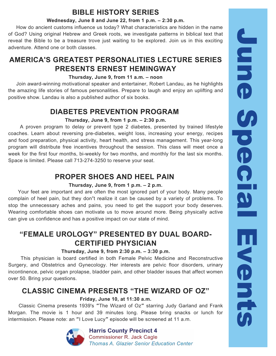# **BIBLE HISTORY SERIES**

#### **Wednesday, June 8 and June 22, from 1 p.m. – 2:30 p.m.**

 How do ancient customs influence us today? What characteristics are hidden in the name of God? Using original Hebrew and Greek roots, we investigate patterns in biblical text that reveal the Bible to be a treasure trove just waiting to be explored. Join us in this exciting adventure. Attend one or both classes.

# **AMERICA'S GREATEST PERSONALITIES LECTURE SERIES PRESENTS ERNEST HEMINGWAY**

#### **Thursday, June 9, from 11 a.m. – noon**

 Join award-winning motivational speaker and entertainer, Robert Landau, as he highlights the amazing life stories of famous personalities. Prepare to laugh and enjoy an uplifting and positive show. Landau is also a published author of six books.

### **DIABETES PREVENTION PROGRAM**

### **Thursday, June 9, from 1 p.m. – 2:30 p.m.**

 A proven program to delay or prevent type 2 diabetes, presented by trained lifestyle coaches. Learn about reversing pre-diabetes, weight loss, increasing your energy, recipes and food preparation, physical activity, heart health, and stress management. This year-long program will distribute free incentives throughout the session. This class will meet once a week for the first four months, bi-weekly for two months, and monthly for the last six months. Space is limited. Please call 713-274-3250 to reserve your seat.

### **PROPER SHOES AND HEEL PAIN**

### **Thursday, June 9, from 1 p.m. – 2 p.m.**

 Your feet are important and are often the most ignored part of your body. Many people complain of heel pain, but they don**'**t realize it can be caused by a variety of problems. To stop the unnecessary aches and pains, you need to get the support your body deserves. Wearing comfortable shoes can motivate us to move around more. Being physically active can give us confidence and has a positive impact on our state of mind.

# **"FEMALE UROLOGY" PRESENTED BY DUAL BOARD-CERTIFIED PHYSICIAN**

### **Thursday, June 9, from 2:30 p.m. – 3:30 p.m.**

 This physician is board certified in both Female Pelvic Medicine and Reconstructive Surgery, and Obstetrics and Gynecology. Her interests are pelvic floor disorders, urinary incontinence, pelvic organ prolapse, bladder pain, and other bladder issues that affect women over 50. Bring your questions.

# **CLASSIC CINEMA PRESENTS "THE WIZARD OF OZ"**

#### **Friday, June 10, at 11:30 a.m.**

 Classic Cinema presents 1939's **"**The Wizard of Oz**"** starring Judy Garland and Frank Morgan. The movie is 1 hour and 39 minutes long. Please bring snacks or lunch for intermission. Please note: an **"**I Love Lucy**"** episode will be screened at 11 a.m.



### **Harris County Precinct 4**

**Commissioner R. Jack Cagle Thomas A. Glazier Senior Education Center**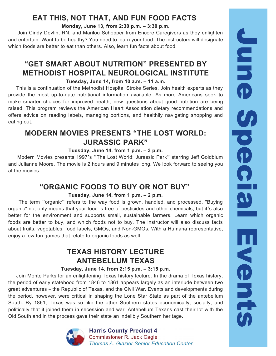# **EAT THIS, NOT THAT, AND FUN FOOD FACTS**

#### **Monday, June 13, from 2:30 p.m. – 3:30 p.m.**

 Join Cindy Devlin, RN, and Marilou Schopper from Encore Caregivers as they enlighten and entertain. Want to be healthy? You need to learn your food. The instructors will designate which foods are better to eat than others. Also, learn fun facts about food.

# **"GET SMART ABOUT NUTRITION" PRESENTED BY METHODIST HOSPITAL NEUROLOGICAL INSTITUTE**

#### **Tuesday, June 14, from 10 a.m. – 11 a.m.**

 This is a continuation of the Methodist Hospital Stroke Series. Join health experts as they provide the most up-to-date nutritional information available. As more Americans seek to make smarter choices for improved health, new questions about good nutrition are being raised. This program reviews the American Heart Association dietary recommendations and offers advice on reading labels, managing portions, and healthily navigating shopping and eating out.

### **MODERN MOVIES PRESENTS "THE LOST WORLD: JURASSIC PARK"**

### **Tuesday, June 14, from 1 p.m. – 3 p.m.**

 Modern Movies presents 1997**'**s **"**The Lost World: Jurassic Park**"** starring Jeff Goldblum and Julianne Moore. The movie is 2 hours and 9 minutes long. We look forward to seeing you at the movies.

# **"ORGANIC FOODS TO BUY OR NOT BUY"**

#### **Tuesday, June 14, from 1 p.m. – 2 p.m.**

 The term **"**organic**"** refers to the way food is grown, handled, and processed. "Buying organic" not only means that your food is free of pesticides and other chemicals, but it**'**s also better for the environment and supports small, sustainable farmers. Learn which organic foods are better to buy, and which foods not to buy. The instructor will also discuss facts about fruits, vegetables, food labels, GMOs, and Non-GMOs. With a Humana representative, enjoy a few fun games that relate to organic foods as well.

# **TEXAS HISTORY LECTURE ANTEBELLUM TEXAS**

### **Tuesday, June 14, from 2:15 p.m. – 3:15 p.m.**

 Join Monte Parks for an enlightening Texas history lecture. In the drama of Texas history, the period of early statehood from 1846 to 1861 appears largely as an interlude between two great adventures **–** the Republic of Texas, and the Civil War. Events and developments during the period, however, were critical in shaping the Lone Star State as part of the antebellum South. By 1861, Texas was so like the other Southern states economically, socially, and politically that it joined them in secession and war. Antebellum Texans cast their lot with the Old South and in the process gave their state an indelibly Southern heritage.



#### **Harris County Precinct 4 Commissioner R. Jack Cagle Thomas A. Glazier Senior Education Center**

June Special Events **UNDE** Special П Nentes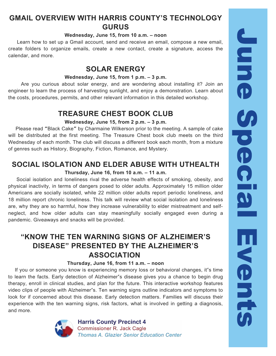### **GMAIL OVERVIEW WITH HARRIS COUNTY'S TECHNOLOGY GURUS**

#### **Wednesday, June 15, from 10 a.m. – noon**

 Learn how to set up a Gmail account, send and receive an email, compose a new email, create folders to organize emails, create a new contact, create a signature, access the calendar, and more.

### **SOLAR ENERGY**

#### **Wednesday, June 15, from 1 p.m. – 3 p.m.**

 Are you curious about solar energy, and are wondering about installing it? Join an engineer to learn the process of harvesting sunlight, and enjoy a demonstration. Learn about the costs, procedures, permits, and other relevant information in this detailed workshop.

# **TREASURE CHEST BOOK CLUB**

### **Wednesday, June 15, from 2 p.m. – 3 p.m.**

 Please read **"**Black Cake**"** by Charmaine Wilkerson prior to the meeting. A sample of cake will be distributed at the first meeting. The Treasure Chest book club meets on the third Wednesday of each month. The club will discuss a different book each month, from a mixture of genres such as History, Biography, Fiction, Romance, and Mystery.

### **SOCIAL ISOLATION AND ELDER ABUSE WITH UTHEALTH**

### **Thursday, June 16, from 10 a.m. – 11 a.m.**

 Social isolation and loneliness rival the adverse health effects of smoking, obesity, and physical inactivity, in terms of dangers posed to older adults. Approximately 15 million older Americans are socially isolated, while 22 million older adults report periodic loneliness, and 18 million report chronic loneliness. This talk will review what social isolation and loneliness are, why they are so harmful, how they increase vulnerability to elder mistreatment and selfneglect, and how older adults can stay meaningfully socially engaged even during a pandemic. Giveaways and snacks will be provided.

# **"KNOW THE TEN WARNING SIGNS OF ALZHEIMER'S DISEASE" PRESENTED BY THE ALZHEIMER'S ASSOCIATION**

### **Thursday, June 16, from 11 a.m. – noon**

 If you or someone you know is experiencing memory loss or behavioral changes, it**'**s time to learn the facts. Early detection of Alzheimer**'**s disease gives you a chance to begin drug therapy, enroll in clinical studies, and plan for the future. This interactive workshop features video clips of people with Alzheimer**'**s. Ten warning signs outline indicators and symptoms to look for if concerned about this disease. Early detection matters. Families will discuss their experience with the ten warning signs, risk factors, what is involved in getting a diagnosis, and more.

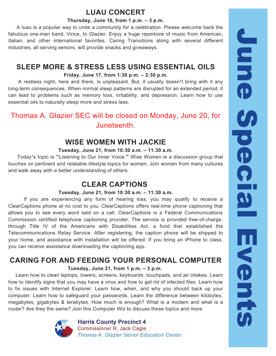# **LUAU CONCERT**

#### **Thursday, June 16, from 1 p.m. – 3 p.m.**

 A luau is a popular way to unite a community for a celebration. Please welcome back the fabulous one-man band, Vince, to Glazier. Enjoy a huge repertoire of music from American, Italian, and other international favorites. Caring Transitions along with several different industries, all serving seniors, will provide snacks and giveaways.

### **SLEEP MORE & STRESS LESS USING ESSENTIAL OILS**

#### **Friday, June 17, from 1:30 p.m. – 2:30 p.m.**

 A restless night, here and there, is unpleasant. But, it usually doesn**'**t bring with it any long-term consequences. When normal sleep patterns are disrupted for an extended period, it can lead to problems such as memory loss, irritability, and depression. Learn how to use essential oils to naturally sleep more and stress less.

### Thomas A. Glazier SEC will be closed on Monday, June 20, for Juneteenth.

# **WISE WOMEN WITH JACKIE**

### **Tuesday, June 21, from 10:30 a.m. – 11:30 a.m.**

 Today**'**s topic is **"**Listening to Our Inner Voice.**"** Wise Women is a discussion group that touches on pertinent and relatable lifestyle topics for women. Join women from many cultures and walk away with a better understanding of others.

### **CLEAR CAPTIONS**

### **Tuesday, June 21, from 10:30 a.m. – 11:30 a.m.**

 If you are experiencing any form of hearing loss, you may qualify to receive a ClearCaptions phone at no cost to you. ClearCaptions offers real-time phone captioning that allows you to see every word said on a call. ClearCaptions is a Federal Communications Commission certified telephone captioning provider. The service is provided free-of-charge, through Title IV of the Americans with Disabilities Act, a fund that established the Telecommunications Relay Service. After registering, the caption phone will be shipped to your home, and assistance with installation will be offered. If you bring an iPhone to class, you can receive assistance downloading the captioning app.

# **CARING FOR AND FEEDING YOUR PERSONAL COMPUTER**

**Tuesday, June 21, from 1 p.m. – 3 p.m.**

 Learn how to clean laptops, towers, screens, keyboards, touchpads, and air intakes. Learn how to identify signs that you may have a virus and how to get rid of infected files. Learn how to fix issues with Internet Explorer. Learn how, when, and why you should back up your computer. Learn how to safeguard your passwords. Learn the difference between kilobytes, megabytes, gigabytes & terabytes. How much is enough? What is a modem and what is a router? Are they the same? Join this Computer Wiz to discuss these topics and more.

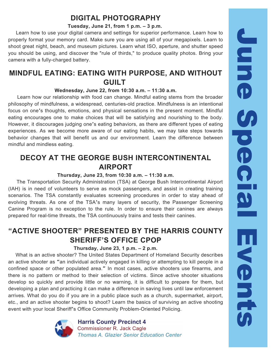# **DIGITAL PHOTOGRAPHY**

#### **Tuesday, June 21, from 1 p.m. – 3 p.m.**

 Learn how to use your digital camera and settings for superior performance. Learn how to properly format your memory card. Make sure you are using all of your megapixels. Learn to shoot great night, beach, and museum pictures. Learn what ISO, aperture, and shutter speed you should be using, and discover the "rule of thirds," to produce quality photos. Bring your camera with a fully-charged battery.

### **MINDFUL EATING: EATING WITH PURPOSE, AND WITHOUT GUILT**

#### **Wednesday, June 22, from 10:30 a.m. – 11:30 a.m.**

 Learn how our relationship with food can change. Mindful eating stems from the broader philosophy of mindfulness, a widespread, centuries-old practice. Mindfulness is an intentional focus on one**'**s thoughts, emotions, and physical sensations in the present moment. Mindful eating encourages one to make choices that will be satisfying and nourishing to the body. However, it discourages judging one**'**s eating behaviors, as there are different types of eating experiences. As we become more aware of our eating habits, we may take steps towards behavior changes that will benefit us and our environment. Learn the difference between mindful and mindless eating.

### **DECOY AT THE GEORGE BUSH INTERCONTINENTAL AIRPORT**

#### **Thursday, June 23, from 10:30 a.m. – 11:30 a.m.**

 The Transportation Security Administration (TSA) at George Bush Intercontinental Airport (IAH) is in need of volunteers to serve as mock passengers, and assist in creating training scenarios. The TSA constantly evaluates screening procedures in order to stay ahead of evolving threats. As one of the TSA**'**s many layers of security, the Passenger Screening Canine Program is no exception to the rule. In order to ensure their canines are always prepared for real-time threats, the TSA continuously trains and tests their canines.

### **"ACTIVE SHOOTER" PRESENTED BY THE HARRIS COUNTY SHERIFF'S OFFICE CPOP**

#### **Thursday, June 23, 1 p.m. – 2 p.m.**

 What is an active shooter? The United States Department of Homeland Security describes an active shooter as **"**an individual actively engaged in killing or attempting to kill people in a confined space or other populated area.**"** In most cases, active shooters use firearms, and there is no pattern or method to their selection of victims. Since active shooter situations develop so quickly and provide little or no warning, it is difficult to prepare for them, but developing a plan and practicing it can make a difference in saving lives until law enforcement arrives. What do you do if you are in a public place such as a church, supermarket, airport, etc., and an active shooter begins to shoot? Learn the basics of surviving an active shooting event with your local Sheriff**'**s Office Community Problem-Oriented Policing.

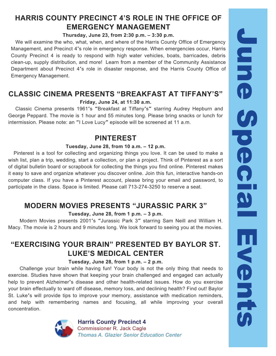### **HARRIS COUNTY PRECINCT 4'S ROLE IN THE OFFICE OF EMERGENCY MANAGEMENT**

#### **Thursday, June 23, from 2:30 p.m. – 3:30 p.m.**

 We will examine the who, what, when, and where of the Harris County Office of Emergency Management, and Precinct 4**'**s role in emergency response. When emergencies occur, Harris County Precinct 4 is ready to respond with high water vehicles, boats, barricades, debris clean-up, supply distribution, and more! Learn from a member of the Community Assistance Department about Precinct 4**'**s role in disaster response, and the Harris County Office of Emergency Management.

### **CLASSIC CINEMA PRESENTS "BREAKFAST AT TIFFANY'S"**

#### **Friday, June 24, at 11:30 a.m.**

 Classic Cinema presents 1961**'**s **"**Breakfast at Tiffany**'**s**"** starring Audrey Hepburn and George Peppard. The movie is 1 hour and 55 minutes long. Please bring snacks or lunch for intermission. Please note: an **"**I Love Lucy**"** episode will be screened at 11 a.m.

### **PINTEREST**

#### **Tuesday, June 28, from 10 a.m. – 12 p.m.**

 Pinterest is a tool for collecting and organizing things you love. It can be used to make a wish list, plan a trip, wedding, start a collection, or plan a project. Think of Pinterest as a sort of digital bulletin board or scrapbook for collecting the things you find online. Pinterest makes it easy to save and organize whatever you discover online. Join this fun, interactive hands-on computer class. If you have a Pinterest account, please bring your email and password, to participate in the class. Space is limited. Please call 713-274-3250 to reserve a seat.

### **MODERN MOVIES PRESENTS "JURASSIC PARK 3"**

#### **Tuesday, June 28, from 1 p.m. – 3 p.m.**

 Modern Movies presents 2001**'**s **"**Jurassic Park 3**"** starring Sam Neill and William H. Macy. The movie is 2 hours and 9 minutes long. We look forward to seeing you at the movies.

### **"EXERCISING YOUR BRAIN" PRESENTED BY BAYLOR ST. LUKE'S MEDICAL CENTER**

#### **Tuesday, June 28, from 1 p.m. – 2 p.m.**

 Challenge your brain while having fun! Your body is not the only thing that needs to exercise. Studies have shown that keeping your brain challenged and engaged can actually help to prevent Alzheimer**'**s disease and other health-related issues. How do you exercise your brain effectually to ward off disease, memory loss, and declining health? Find out! Baylor St. Luke**'**s will provide tips to improve your memory, assistance with medication reminders, and help with remembering names and focusing, all while improving your overall concentration.